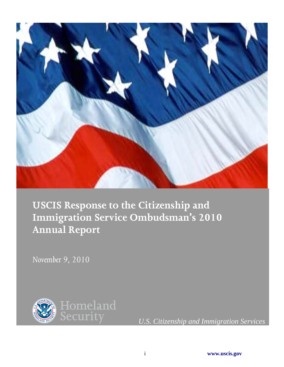

**USCIS Response to the Citizenship and Immigration Service Ombudsman's 2010 Annual Report**

*November 9, 2010*

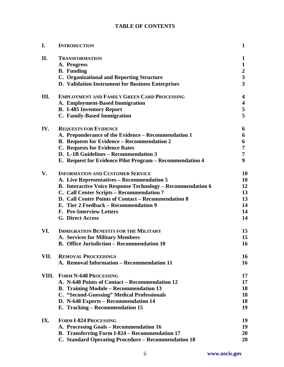# **TABLE OF CONTENTS**

| I.   | <b>INTRODUCTION</b>                                                | 1                       |
|------|--------------------------------------------------------------------|-------------------------|
| II.  | <b>TRANSFORMATION</b>                                              | 1                       |
|      | A. Progress                                                        | $\mathbf{1}$            |
|      | <b>B.</b> Funding                                                  | $\boldsymbol{2}$        |
|      | <b>C. Organizational and Reporting Structure</b>                   | $\overline{\mathbf{3}}$ |
|      | D. Validation Instrument for Business Enterprises                  | $\overline{\mathbf{3}}$ |
| III. | <b>EMPLOYMENT AND FAMILY GREEN CARD PROCESSING</b>                 | 4                       |
|      | A. Employment-Based Immigration                                    | $\overline{\mathbf{4}}$ |
|      | <b>B.</b> I-485 Inventory Report                                   | 5                       |
|      | C. Family-Based Immigration                                        | 5                       |
| IV.  | <b>REQUESTS FOR EVIDENCE</b>                                       | 6                       |
|      | A. Preponderance of the Evidence - Recommendation 1                | 6                       |
|      | <b>B.</b> Requests for Evidence – Recommendation 2                 | 6                       |
|      | <b>C.</b> Requests for Evidence Rates                              | 7                       |
|      | D. L-1B Guidelines – Recommendation 3                              | 7                       |
|      | E. Request for Evidence Pilot Program – Recommendation 4           | 9                       |
| V.   | <b>INFORMATION AND CUSTOMER SERVICE</b>                            | 10                      |
|      | A. Live Representatives - Recommendation 5                         | 10                      |
|      | <b>B.</b> Interactive Voice Response Technology – Recommendation 6 | 12                      |
|      | C. Call Center Scripts - Recommendation 7                          | 13                      |
|      | D. Call Center Points of Contact – Recommendation 8                | 13                      |
|      | E. Tier 2 Feedback - Recommendation 9                              | 14                      |
|      | <b>F. Pre-Interview Letters</b>                                    | 14                      |
|      | <b>G. Direct Access</b>                                            | 14                      |
| VI.  | <b>IMMIGRATION BENEFITS FOR THE MILITARY</b>                       | 15                      |
|      | A. Services for Military Members                                   | 15                      |
|      | <b>B.</b> Office Jurisdiction – Recommendation 10                  | 16                      |
| VII. | <b>REMOVAL PROCEEDINGS</b>                                         | 16                      |
|      | A. Removal Information - Recommendation 11                         | 16                      |
|      | VIII. FORM N-648 PROCESSING                                        | 17                      |
|      | A. N-648 Points of Contact – Recommendation 12                     | 17                      |
|      | <b>B.</b> Training Module – Recommendation 13                      | 18                      |
|      | C. "Second-Guessing" Medical Professionals                         | 18                      |
|      | D. N-648 Experts – Recommendation 14                               | 18                      |
|      | E. Tracking - Recommendation 15                                    | 19                      |
| IX.  | <b>FORM I-824 PROCESSING</b>                                       | 19                      |
|      | A. Processing Goals – Recommendation 16                            | 19                      |
|      | B. Transferring Form I-824 - Recommendation 17                     | 20                      |
|      | C. Standard Operating Procedure - Recommendation 18                | 20                      |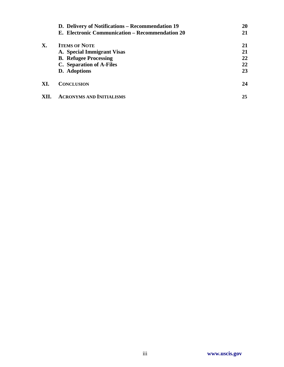|      | D. Delivery of Notifications – Recommendation 19 | 20 |
|------|--------------------------------------------------|----|
|      | E. Electronic Communication – Recommendation 20  | 21 |
| Х.   | <b>ITEMS OF NOTE</b>                             | 21 |
|      | A. Special Immigrant Visas                       | 21 |
|      | <b>B.</b> Refugee Processing                     | 22 |
|      | C. Separation of A-Files                         | 22 |
|      | D. Adoptions                                     | 23 |
| XI.  | <b>CONCLUSION</b>                                | 24 |
| XII. | <b>ACRONYMS AND INITIALISMS</b>                  | 25 |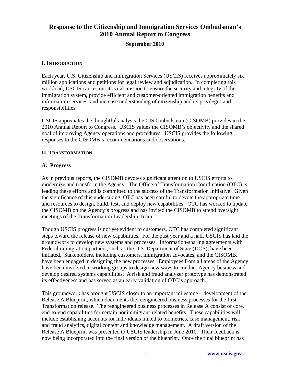# **Response to the Citizenship and Immigration Services Ombudsman's 2010 Annual Report to Congress**

#### **September 2010**

#### **I. INTRODUCTION**

Each year, U.S. Citizenship and Immigration Services (USCIS) receives approximately six million applications and petitions for legal review and adjudication. In completing this workload, USCIS carries out its vital mission to ensure the security and integrity of the immigration system, provide efficient and customer-oriented immigration benefits and information services, and increase understanding of citizenship and its privileges and responsibilities.

USCIS appreciates the thoughtful analysis the CIS Ombudsman (CISOMB) provides in the 2010 Annual Report to Congress. USCIS values the CISOMB's objectivity and the shared goal of improving Agency operations and procedures. USCIS provides the following responses to the CISOMB's recommendations and observations.

#### **II. TRANSFORMATION**

#### **A. Progress**

As in previous reports, the CISOMB devotes significant attention to USCIS efforts to modernize and transform the Agency. The Office of Transformation Coordination (OTC) is leading these efforts and is committed to the success of the Transformation Initiative. Given the significance of this undertaking, OTC has been careful to devote the appropriate time and resources to design, build, test, and deploy new capabilities. OTC has worked to update the CISOMB on the Agency's progress and has invited the CISOMB to attend oversight meetings of the Transformation Leadership Team.

Though USCIS progress is not yet evident to customers, OTC has completed significant steps toward the release of new capabilities. For the past year and a half, USCIS has laid the groundwork to develop new systems and processes. Information-sharing agreements with Federal immigration partners, such as the U.S. Department of State (DOS), have been initiated. Stakeholders, including customers, immigration advocates, and the CISOMB, have been engaged in designing the new processes. Employees from all areas of the Agency have been involved in working groups to design new ways to conduct Agency business and develop desired systems capabilities. A risk and fraud analyzer prototype has demonstrated its effectiveness and has served as an early validation of OTC's approach.

This groundwork has brought USCIS closer to an important milestone – development of the Release A Blueprint, which documents the reengineered business processes for the first Transformation release. The reengineered business processes in Release A consist of core, end-to-end capabilities for certain nonimmigrant-related benefits. These capabilities will include establishing accounts for individuals linked to biometrics, case management, risk and fraud analytics, digital content and knowledge management. A draft version of the Release A Blueprint was presented to USCIS leadership in June 2010. Their feedback is now being incorporated into the final version of the blueprint. Once the final blueprint has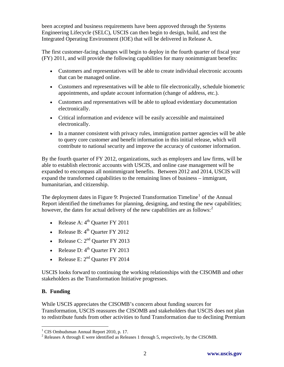been accepted and business requirements have been approved through the Systems Engineering Lifecycle (SELC), USCIS can then begin to design, build, and test the Integrated Operating Environment (IOE) that will be delivered in Release A.

The first customer-facing changes will begin to deploy in the fourth quarter of fiscal year (FY) 2011, and will provide the following capabilities for many nonimmigrant benefits:

- Customers and representatives will be able to create individual electronic accounts that can be managed online.
- Customers and representatives will be able to file electronically, schedule biometric appointments, and update account information (change of address, etc.).
- Customers and representatives will be able to upload evidentiary documentation electronically.
- Critical information and evidence will be easily accessible and maintained electronically.
- In a manner consistent with privacy rules, immigration partner agencies will be able to query core customer and benefit information in this initial release, which will contribute to national security and improve the accuracy of customer information.

By the fourth quarter of FY 2012, organizations, such as employers and law firms, will be able to establish electronic accounts with USCIS, and online case management will be expanded to encompass all nonimmigrant benefits.Between 2012 and 2014, USCIS will expand the transformed capabilities to the remaining lines of business – immigrant, humanitarian, and citizenship.

The deployment dates in Figure 9: Projected Transformation Timeline<sup>[1](#page-4-0)</sup> of the Annual Report identified the timeframes for planning, designing, and testing the new capabilities; however, the dates for actual delivery of the new capabilities are as follows:<sup>[2](#page-4-1)</sup>

- Release A:  $4<sup>th</sup>$  Quarter FY 2011
- Release B:  $4<sup>th</sup>$  Quarter FY 2012
- Release C:  $2<sup>nd</sup>$  Quarter FY 2013
- Release D:  $4<sup>th</sup>$  Quarter FY 2013
- Release E:  $2<sup>nd</sup>$  Quarter FY 2014

USCIS looks forward to continuing the working relationships with the CISOMB and other stakeholders as the Transformation Initiative progresses.

# **B. Funding**

While USCIS appreciates the CISOMB's concern about funding sources for Transformation, USCIS reassures the CISOMB and stakeholders that USCIS does not plan to redistribute funds from other activities to fund Transformation due to declining Premium

<span id="page-4-0"></span> 1 CIS Ombudsman Annual Report 2010, p. 17.

<span id="page-4-1"></span><sup>&</sup>lt;sup>2</sup> Releases A through E were identified as Releases 1 through 5, respectively, by the CISOMB.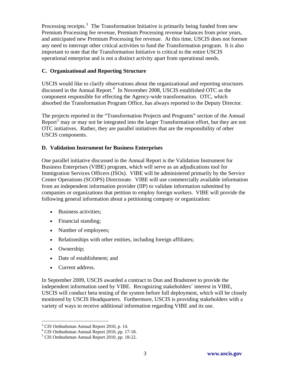Processing receipts.<sup>[3](#page-5-0)</sup> The Transformation Initiative is primarily being funded from new Premium Processing fee revenue, Premium Processing revenue balances from prior years, and anticipated new Premium Processing fee revenue. At this time, USCIS does not foresee any need to interrupt other critical activities to fund the Transformation program. It is also important to note that the Transformation Initiative is critical to the entire USCIS operational enterprise and is not a distinct activity apart from operational needs.

## **C. Organizational and Reporting Structure**

USCIS would like to clarify observations about the organizational and reporting structures discussed in the Annual Report.<sup>[4](#page-5-1)</sup> In November 2008, USCIS established OTC as the component responsible for effecting the Agency-wide transformation. OTC, which absorbed the Transformation Program Office, has always reported to the Deputy Director.

The projects reported in the "Transformation Projects and Programs" section of the Annual Report<sup>[5](#page-5-2)</sup> may or may not be integrated into the larger Transformation effort, but they are not OTC initiatives. Rather, they are parallel initiatives that are the responsibility of other USCIS components.

## **D. Validation Instrument for Business Enterprises**

One parallel initiative discussed in the Annual Report is the Validation Instrument for Business Enterprises (VIBE) program, which will serve as an adjudications tool for Immigration Services Officers (ISOs). VIBE will be administered primarily by the Service Center Operations (SCOPS) Directorate. VIBE will use commercially available information from an independent information provider (IIP) to validate information submitted by companies or organizations that petition to employ foreign workers. VIBE will provide the following general information about a petitioning company or organization:

- Business activities;
- Financial standing;
- Number of employees;
- Relationships with other entities, including foreign affiliates;
- Ownership;

 $\overline{a}$ 

- Date of establishment: and
- Current address.

In September 2009, USCIS awarded a contract to Dun and Bradstreet to provide the independent information used by VIBE. Recognizing stakeholders' interest in VIBE, USCIS will conduct beta testing of the system before full deployment, which will be closely monitored by USCIS Headquarters. Furthermore, USCIS is providing stakeholders with a variety of ways to receive additional information regarding VIBE and its use.

<span id="page-5-0"></span><sup>&</sup>lt;sup>3</sup> CIS Ombudsman Annual Report 2010, p. 14.

<span id="page-5-1"></span><sup>4</sup> CIS Ombudsman Annual Report 2010, pp. 17-18.

<span id="page-5-2"></span><sup>5</sup> CIS Ombudsman Annual Report 2010, pp. 18-22.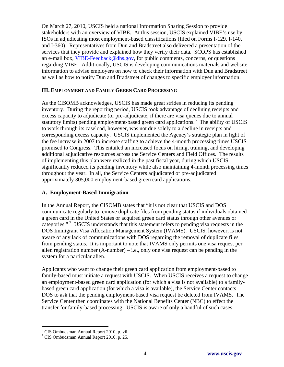On March 27, 2010, USCIS held a national Information Sharing Session to provide stakeholders with an overview of VIBE. At this session, USCIS explained VIBE's use by ISOs in adjudicating most employment-based classifications (filed on Forms I-129, I-140, and I-360). Representatives from Dun and Bradstreet also delivered a presentation of the services that they provide and explained how they verify their data. SCOPS has established an e-mail box, [VIBE-Feedback@dhs.gov,](mailto:VIBE-Feedback@dhs.gov) for public comments, concerns, or questions regarding VIBE. Additionally, USCIS is developing communications materials and website information to advise employers on how to check their information with Dun and Bradstreet as well as how to notify Dun and Bradstreet of changes to specific employer information.

#### **III. EMPLOYMENT AND FAMILY GREEN CARD PROCESSING**

As the CISOMB acknowledges, USCIS has made great strides in reducing its pending inventory. During the reporting period, USCIS took advantage of declining receipts and excess capacity to adjudicate (or pre-adjudicate, if there are visa queues due to annual statutory limits) pending employment-based green card applications.<sup>[6](#page-6-0)</sup> The ability of USCIS to work through its caseload, however, was not due solely to a decline in receipts and corresponding excess capacity. USCIS implemented the Agency's strategic plan in light of the fee increase in 2007 to increase staffing to achieve the 4-month processing times USCIS promised to Congress. This entailed an increased focus on hiring, training, and developing additional adjudicative resources across the Service Centers and Field Offices. The results of implementing this plan were realized in the past fiscal year, during which USCIS significantly reduced its pending inventory while also maintaining 4-month processing times throughout the year. In all, the Service Centers adjudicated or pre-adjudicated approximately 305,000 employment-based green card applications.

#### **A. Employment-Based Immigration**

In the Annual Report, the CISOMB states that "it is not clear that USCIS and DOS communicate regularly to remove duplicate files from pending status if individuals obtained a green card in the United States or acquired green card status through other avenues or categories."<sup>[7](#page-6-1)</sup> USCIS understands that this statement refers to pending visa requests in the DOS Immigrant Visa Allocation Management System (IVAMS). USCIS, however, is not aware of any lack of communications with DOS regarding the removal of duplicate files from pending status. It is important to note that IVAMS only permits one visa request per alien registration number  $(A\text{-number}) - i.e.,$  only one visa request can be pending in the system for a particular alien.

Applicants who want to change their green card application from employment-based to family-based must initiate a request with USCIS. When USCIS receives a request to change an employment-based green card application (for which a visa is not available) to a familybased green card application (for which a visa is available), the Service Center contacts DOS to ask that the pending employment-based visa request be deleted from IVAMS. The Service Center then coordinates with the National Benefits Center (NBC) to effect the transfer for family-based processing. USCIS is aware of only a handful of such cases.

1

<span id="page-6-0"></span><sup>6</sup> CIS Ombudsman Annual Report 2010, p. vii.

<span id="page-6-1"></span><sup>7</sup> CIS Ombudsman Annual Report 2010, p. 25.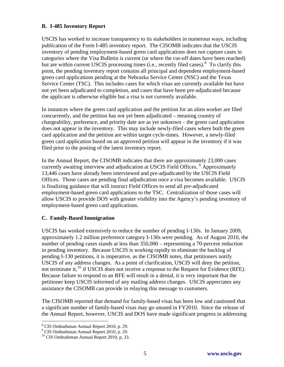#### **B. I-485 Inventory Report**

USCIS has worked to increase transparency to its stakeholders in numerous ways, including publication of the Form I-485 inventory report. The CISOMB indicates that the USCIS inventory of pending employment-based green card applications does not capture cases in categories where the Visa Bulletin is current (or where the cut-off dates have been reached) but are within current USCIS processing times (i.e., recently filed cases).<sup>[8](#page-7-0)</sup> To clarify this point, the pending inventory report contains all principal and dependent employment-based green card applications pending at the Nebraska Service Center (NSC) and the Texas Service Center (TSC). This includes cases for which visas are currently available but have not yet been adjudicated to completion, and cases that have been pre-adjudicated because the applicant is otherwise eligible but a visa is not currently available.

In instances where the green card application and the petition for an alien worker are filed concurrently, and the petition has not yet been adjudicated – meaning country of chargeability, preference, and priority date are as yet unknown – the green card application does not appear in the inventory. This may include newly-filed cases where both the green card application and the petition are within target cycle-times. However, a newly-filed green card application based on an approved petition will appear in the inventory if it was filed prior to the posting of the latest inventory report.

In the Annual Report, the CISOMB indicates that there are approximately 23,000 cases currently awaiting interview and adjudication at USCIS Field Offices.<sup>[9](#page-7-1)</sup> Approximately 13,446 cases have already been interviewed and pre-adjudicated by the USCIS Field Offices. Those cases are pending final adjudication once a visa becomes available. USCIS is finalizing guidance that will instruct Field Offices to send all pre-adjudicated employment-based green card applications to the TSC. Centralization of those cases will allow USCIS to provide DOS with greater visibility into the Agency's pending inventory of employment-based green card applications.

### **C. Family-Based Immigration**

USCIS has worked extensively to reduce the number of pending I-130s. In January 2009, approximately 1.2 million preference category I-130s were pending. As of August 2010, the number of pending cases stands at less than 350,000 – representing a 70-percent reduction in pending inventory. Because USCIS is working rapidly to eliminate the backlog of pending I-130 petitions, it is imperative, as the CISOMB notes, that petitioners notify USCIS of any address changes. As a point of clarification, USCIS will deny the petition, not terminate it,<sup>[10](#page-7-2)</sup> if USCIS does not receive a response to the Request for Evidence (RFE). Because failure to respond to an RFE will result in a denial, it is very important that the petitioner keep USCIS informed of any mailing address changes. USCIS appreciates any assistance the CISOMB can provide in relaying this message to customers.

The CISOMB reported that demand for family-based visas has been low and cautioned that a significant number of family-based visas may go unused in FY2010. Since the release of the Annual Report, however, USCIS and DOS have made significant progress in addressing

 $\overline{a}$ 

<span id="page-7-0"></span><sup>8</sup> CIS Ombudsman Annual Report 2010, p. 29.

<sup>9</sup> CIS Ombudsman Annual Report 2010, p. 29.

<span id="page-7-2"></span><span id="page-7-1"></span><sup>&</sup>lt;sup>10</sup> CIS Ombudsman Annual Report 2010, p. 33.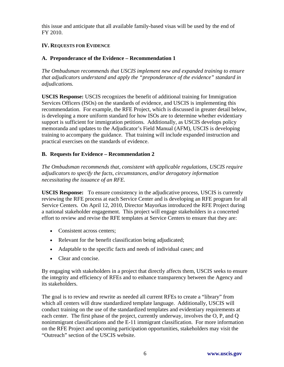this issue and anticipate that all available family-based visas will be used by the end of FY 2010.

## **IV. REQUESTS FOR EVIDENCE**

## **A. Preponderance of the Evidence – Recommendation 1**

*The Ombudsman recommends that USCIS implement new and expanded training to ensure that adjudicators understand and apply the "preponderance of the evidence" standard in adjudications.* 

**USCIS Response:** USCIS recognizes the benefit of additional training for Immigration Services Officers (ISOs) on the standards of evidence, and USCIS is implementing this recommendation. For example, the RFE Project, which is discussed in greater detail below, is developing a more uniform standard for how ISOs are to determine whether evidentiary support is sufficient for immigration petitions. Additionally, as USCIS develops policy memoranda and updates to the Adjudicator's Field Manual (AFM), USCIS is developing training to accompany the guidance. That training will include expanded instruction and practical exercises on the standards of evidence.

## **B. Requests for Evidence – Recommendation 2**

*The Ombudsman recommends that, consistent with applicable regulations, USCIS require adjudicators to specify the facts, circumstances, and/or derogatory information necessitating the issuance of an RFE.* 

**USCIS Response:** To ensure consistency in the adjudicative process, USCIS is currently reviewing the RFE process at each Service Center and is developing an RFE program for all Service Centers. On April 12, 2010, Director Mayorkas introduced the RFE Project during a national stakeholder engagement. This project will engage stakeholders in a concerted effort to review and revise the RFE templates at Service Centers to ensure that they are:

- Consistent across centers;
- Relevant for the benefit classification being adjudicated;
- Adaptable to the specific facts and needs of individual cases; and
- Clear and concise.

By engaging with stakeholders in a project that directly affects them, USCIS seeks to ensure the integrity and efficiency of RFEs and to enhance transparency between the Agency and its stakeholders.

The goal is to review and rewrite as needed all current RFEs to create a "library" from which all centers will draw standardized template language. Additionally, USCIS will conduct training on the use of the standardized templates and evidentiary requirements at each center. The first phase of the project, currently underway, involves the O, P, and Q nonimmigrant classifications and the E-11 immigrant classification. For more information on the RFE Project and upcoming participation opportunities, stakeholders may visit the "Outreach" section of the USCIS website.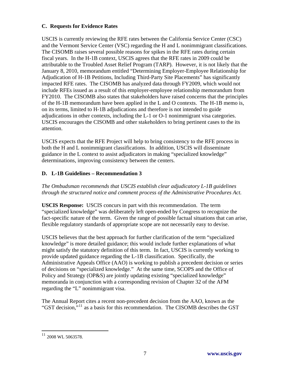## **C. Requests for Evidence Rates**

USCIS is currently reviewing the RFE rates between the California Service Center (CSC) and the Vermont Service Center (VSC) regarding the H and L nonimmigrant classifications. The CISOMB raises several possible reasons for spikes in the RFE rates during certain fiscal years. In the H-1B context, USCIS agrees that the RFE rates in 2009 could be attributable to the Troubled Asset Relief Program (TARP). However, it is not likely that the January 8, 2010, memorandum entitled "Determining Employer-Employee Relationship for Adjudication of H-1B Petitions, Including Third-Party Site Placements" has significantly impacted RFE rates. The CISOMB has analyzed data through FY2009, which would not include RFEs issued as a result of this employer-employee relationship memorandum from FY2010. The CISOMB also states that stakeholders have raised concerns that the principles of the H-1B memorandum have been applied in the L and O contexts. The H-1B memo is, on its terms, limited to H-1B adjudications and therefore is not intended to guide adjudications in other contexts, including the L-1 or O-1 nonimmigrant visa categories. USCIS encourages the CISOMB and other stakeholders to bring pertinent cases to the its attention.

USCIS expects that the RFE Project will help to bring consistency to the RFE process in both the H and L nonimmigrant classifications. In addition, USCIS will disseminate guidance in the L context to assist adjudicators in making "specialized knowledge" determinations, improving consistency between the centers.

# **D. L-1B Guidelines – Recommendation 3**

*The Ombudsman recommends that USCIS establish clear adjudicatory L-1B guidelines through the structured notice and comment process of the Administrative Procedures Act.* 

**USCIS Response:** USCIS concurs in part with this recommendation. The term "specialized knowledge" was deliberately left open-ended by Congress to recognize the fact-specific nature of the term. Given the range of possible factual situations that can arise, flexible regulatory standards of appropriate scope are not necessarily easy to devise.

USCIS believes that the best approach for further clarification of the term "specialized knowledge" is more detailed guidance; this would include further explanations of what might satisfy the statutory definition of this term. In fact, USCIS is currently working to provide updated guidance regarding the L-1B classification. Specifically, the Administrative Appeals Office (AAO) is working to publish a precedent decision or series of decisions on "specialized knowledge." At the same time, SCOPS and the Office of Policy and Strategy (OP&S) are jointly updating existing "specialized knowledge" memoranda in conjunction with a corresponding revision of Chapter 32 of the AFM regarding the "L" nonimmigrant visa.

The Annual Report cites a recent non-precedent decision from the AAO, known as the "GST decision,"[11](#page-9-0) as a basis for this recommendation. The CISOMB describes the GST

 $\overline{a}$ 

<span id="page-9-0"></span> $11$  2008 WL 5063578.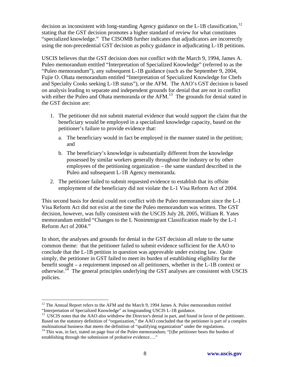decision as inconsistent with long-standing Agency guidance on the L-1B classification,  $12$ stating that the GST decision promotes a higher standard of review for what constitutes "specialized knowledge." The CISOMB further indicates that adjudicators are incorrectly using the non-precedential GST decision as policy guidance in adjudicating L-1B petitions.

USCIS believes that the GST decision does not conflict with the March 9, 1994, James A. Puleo memorandum entitled "Interpretation of Specialized Knowledge" (referred to as the "Puleo memorandum"), any subsequent L-1B guidance (such as the September 9, 2004, Fujie O. Ohata memorandum entitled "Interpretation of Specialized Knowledge for Chefs and Specialty Cooks seeking L-1B status"), or the AFM. The AAO's GST decision is based on analysis leading to separate and independent grounds for denial that are not in conflict with either the Puleo and Ohata memoranda or the  $AFM<sup>13</sup>$  $AFM<sup>13</sup>$  $AFM<sup>13</sup>$ . The grounds for denial stated in the GST decision are:

- 1. The petitioner did not submit material evidence that would support the claim that the beneficiary would be employed in a specialized knowledge capacity, based on the petitioner's failure to provide evidence that:
	- a. The beneficiary would in fact be employed in the manner stated in the petition; and
	- b. The beneficiary's knowledge is substantially different from the knowledge possessed by similar workers generally throughout the industry or by other employees of the petitioning organization – the same standard described in the Puleo and subsequent L-1B Agency memoranda.
- 2. The petitioner failed to submit requested evidence to establish that its offsite employment of the beneficiary did not violate the L-1 Visa Reform Act of 2004.

This second basis for denial could not conflict with the Puleo memorandum since the L-1 Visa Reform Act did not exist at the time the Puleo memorandum was written. The GST decision, however, was fully consistent with the USCIS July 28, 2005, William R. Yates memorandum entitled "Changes to the L Nonimmigrant Classification made by the L-1 Reform Act of 2004."

In short, the analyses and grounds for denial in the GST decision all relate to the same common theme: that the petitioner failed to submit evidence sufficient for the AAO to conclude that the L-1B petition in question was approvable under existing law. Quite simply, the petitioner in GST failed to meet its burden of establishing eligibility for the benefit sought – a requirement imposed on all petitioners, whether in the L-1B context or otherwise.<sup>[14](#page-10-2)</sup> The general principles underlying the GST analyses are consistent with USCIS policies.

<sup>1</sup>  $12$  The Annual Report refers to the AFM and the March 9, 1994 James A. Puleo memorandum entitled

<span id="page-10-1"></span><span id="page-10-0"></span><sup>&</sup>quot;Interpretation of Specialized Knowledge" as longstanding USCIS L-1B guidance. 13 USCIS notes that the AAO also withdrew the Director's denial in part, and found in favor of the petitioner. Based on the statutory definition of "organization," the AAO concluded that the petitioner is part of a complex multinational business that meets the definition of "qualifying organization" under the regulations.

<span id="page-10-2"></span><sup>&</sup>lt;sup>14</sup> This was, in fact, stated on page four of the Puleo memorandum; "[t]he petitioner bears the burden of establishing through the submission of probative evidence…."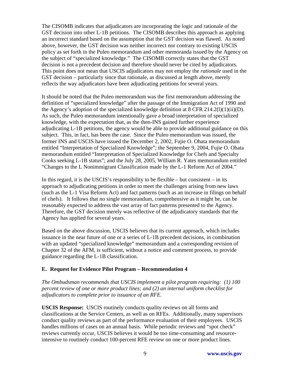The CISOMB indicates that adjudicators are incorporating the logic and rationale of the GST decision into other L-1B petitions. The CISOMB describes this approach as applying an incorrect standard based on the assumption that the GST decision was flawed. As noted above, however, the GST decision was neither incorrect nor contrary to existing USCIS policy as set forth in the Puleo memorandum and other memoranda issued by the Agency on the subject of "specialized knowledge." The CISOMB correctly states that the GST decision is not a precedent decision and therefore should never be cited by adjudicators. This point does not mean that USCIS adjudicators may not employ the *rationale* used in the GST decision – particularly since that rationale, as discussed at length above, merely reflects the way adjudicators have been adjudicating petitions for several years.

It should be noted that the Puleo memorandum was the first memorandum addressing the definition of "specialized knowledge" after the passage of the Immigration Act of 1990 and the Agency's adoption of the specialized knowledge definition at 8 CFR 214.2(l)(1)(ii)(D). As such, the Puleo memorandum intentionally gave a broad interpretation of specialized knowledge, with the expectation that, as the then-INS gained further experience adjudicating L-1B petitions, the agency would be able to provide additional guidance on this subject. This, in fact, has been the case. Since the Puleo memorandum was issued, the former INS and USCIS have issued the December 2, 2002, Fujie O. Ohata memorandum entitled "Interpretation of Specialized Knowledge"; the September 9, 2004, Fujie O. Ohata memorandum entitled "Interpretation of Specialized Knowledge for Chefs and Specialty Cooks seeking L-1B status"; and the July 28, 2005, William R. Yates memorandum entitled "Changes to the L Nonimmigrant Classification made by the L-1 Reform Act of 2004."

In this regard, it is the USCIS's responsibility to be flexible – but consistent – in its approach to adjudicating petitions in order to meet the challenges arising from new laws (such as the L-1 Visa Reform Act) and fact patterns (such as an increase in filings on behalf of chefs). It follows that no single memorandum, comprehensive as it might be, can be reasonably expected to address the vast array of fact patterns presented to the Agency. Therefore, the GST decision merely was reflective of the adjudicatory standards that the Agency has applied for several years.

Based on the above discussion, USCIS believes that its current approach, which includes issuance in the near future of one or a series of L-1B precedent decisions, in combination with an updated "specialized knowledge" memorandum and a corresponding revision of Chapter 32 of the AFM, is sufficient, without a notice and comment process, to provide guidance regarding the L-1B classification.

### **E. Request for Evidence Pilot Program – Recommendation 4**

*The Ombudsman recommends that USCIS implement a pilot program requiring: (1) 100 percent review of one or more product lines; and (2) an internal uniform checklist for adjudicators to complete prior to issuance of an RFE.* 

**USCIS Response:** USCIS routinely conducts quality reviews on all forms and classifications at the Service Centers, as well as on RFEs. Additionally, many supervisors conduct quality reviews as part of the performance evaluation of their employees. USCIS handles millions of cases on an annual basis. While periodic reviews and "spot check" reviews currently occur, USCIS believes it would be too time-consuming and resourceintensive to routinely conduct 100-percent RFE review on one or more product lines.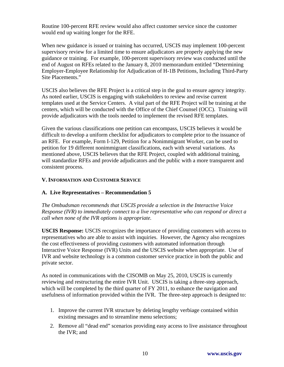Routine 100-percent RFE review would also affect customer service since the customer would end up waiting longer for the RFE.

When new guidance is issued or training has occurred, USCIS may implement 100-percent supervisory review for a limited time to ensure adjudicators are properly applying the new guidance or training. For example, 100-percent supervisory review was conducted until the end of August on RFEs related to the January 8, 2010 memorandum entitled "Determining Employer-Employee Relationship for Adjudication of H-1B Petitions, Including Third-Party Site Placements."

USCIS also believes the RFE Project is a critical step in the goal to ensure agency integrity. As noted earlier, USCIS is engaging with stakeholders to review and revise current templates used at the Service Centers. A vital part of the RFE Project will be training at the centers, which will be conducted with the Office of the Chief Counsel (OCC). Training will provide adjudicators with the tools needed to implement the revised RFE templates.

Given the various classifications one petition can encompass, USCIS believes it would be difficult to develop a uniform checklist for adjudicators to complete prior to the issuance of an RFE. For example, Form I-129, Petition for a Nonimmigrant Worker, can be used to petition for 19 different nonimmigrant classifications, each with several variations. As mentioned above, USCIS believes that the RFE Project, coupled with additional training, will standardize RFEs and provide adjudicators and the public with a more transparent and consistent process.

### **V. INFORMATION AND CUSTOMER SERVICE**

### **A. Live Representatives – Recommendation 5**

*The Ombudsman recommends that USCIS provide a selection in the Interactive Voice Response (IVR) to immediately connect to a live representative who can respond or direct a call when none of the IVR options is appropriate.* 

**USCIS Response:** USCIS recognizes the importance of providing customers with access to representatives who are able to assist with inquiries. However, the Agency also recognizes the cost effectiveness of providing customers with automated information through Interactive Voice Response (IVR) Units and the USCIS website when appropriate. Use of IVR and website technology is a common customer service practice in both the public and private sector.

As noted in communications with the CISOMB on May 25, 2010, USCIS is currently reviewing and restructuring the entire IVR Unit. USCIS is taking a three-step approach, which will be completed by the third quarter of FY 2011, to enhance the navigation and usefulness of information provided within the IVR. The three-step approach is designed to:

- 1. Improve the current IVR structure by deleting lengthy verbiage contained within existing messages and to streamline menu selections;
- 2. Remove all "dead end" scenarios providing easy access to live assistance throughout the IVR; and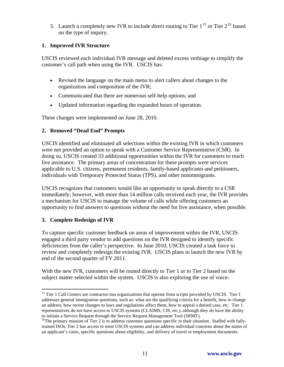3. Launch a completely new IVR to include direct routing to Tier  $1^{15}$  $1^{15}$  $1^{15}$  or Tier  $2^{16}$  $2^{16}$  $2^{16}$  based on the type of inquiry.

### **1. Improved IVR Structure**

USCIS reviewed each individual IVR message and deleted excess verbiage to simplify the customer's call path when using the IVR. USCIS has:

- Revised the language on the main menu to alert callers about changes to the organization and composition of the IVR;
- Communicated that there are numerous self-help options; and
- Updated information regarding the expanded hours of operation.

These changes were implemented on June 28, 2010.

### **2. Removed "Dead End" Prompts**

USCIS identified and eliminated all selections within the existing IVR in which customers were not provided an option to speak with a Customer Service Representative (CSR). In doing so, USCIS created 33 additional opportunities within the IVR for customers to reach live assistance. The primary areas of concentration for these prompts were services applicable to U.S. citizens, permanent residents, family-based applicants and petitioners, individuals with Temporary Protected Status (TPS), and other nonimmigrants.

USCIS recognizes that customers would like an opportunity to speak directly to a CSR immediately; however, with more than 14 million calls received each year, the IVR provides a mechanism for USCIS to manage the volume of calls while offering customers an opportunity to find answers to questions without the need for live assistance, when possible.

### **3. Complete Redesign of IVR**

 $\overline{a}$ 

To capture specific customer feedback on areas of improvement within the IVR, USCIS engaged a third party vendor to add questions on the IVR designed to identify specific deficiencies from the caller's perspective. In June 2010, USCIS created a task force to review and completely redesign the existing IVR. USCIS plans to launch the new IVR by end of the second quarter of FY 2011.

With the new IVR, customers will be routed directly to Tier 1 or to Tier 2 based on the subject matter selected within the system. USCIS is also exploring the use of voice-

<span id="page-13-0"></span><sup>&</sup>lt;sup>15</sup> Tier 1 Call Centers are contractor-run organizations that operate from scripts provided by USCIS. Tier 1 addresses general immigration questions, such as: what are the qualifying criteria for a benefit, how to change an address, how recent changes to laws and regulations affect them, how to appeal a denied case, etc. Tier 1 representatives do not have access to USCIS systems (CLAIMS, CIS, etc.), although they do have the ability to initiate a Service Request through the Service Request Management Tool (SRMT).

<span id="page-13-1"></span> $16$ The primary mission of Tier 2 is to address customer questions specific to their situation. Staffed with fullytrained ISOs, Tier 2 has access to most USCIS systems and can address individual concerns about the status of an applicant's cases, specific questions about eligibility, and delivery of travel or employment documents.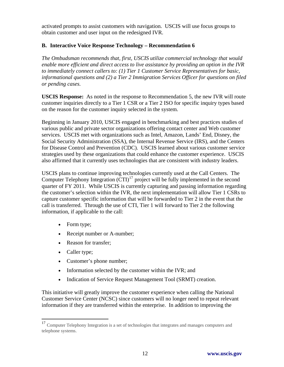activated prompts to assist customers with navigation. USCIS will use focus groups to obtain customer and user input on the redesigned IVR.

## **B. Interactive Voice Response Technology – Recommendation 6**

*The Ombudsman recommends that, first, USCIS utilize commercial technology that would enable more efficient and direct access to live assistance by providing an option in the IVR to immediately connect callers to: (1) Tier 1 Customer Service Representatives for basic, informational questions and (2) a Tier 2 Immigration Services Officer for questions on filed or pending cases.* 

**USCIS Response:** As noted in the response to Recommendation 5, the new IVR will route customer inquiries directly to a Tier 1 CSR or a Tier 2 ISO for specific inquiry types based on the reason for the customer inquiry selected in the system.

Beginning in January 2010, USCIS engaged in benchmarking and best practices studies of various public and private sector organizations offering contact center and Web customer services. USCIS met with organizations such as Intel, Amazon, Lands' End, Disney, the Social Security Administration (SSA), the Internal Revenue Service (IRS), and the Centers for Disease Control and Prevention (CDC). USCIS learned about various customer service strategies used by these organizations that could enhance the customer experience. USCIS also affirmed that it currently uses technologies that are consistent with industry leaders.

USCIS plans to continue improving technologies currently used at the Call Centers. The Computer Telephony Integration  $\left( \overline{CTI} \right)^{17}$  $\left( \overline{CTI} \right)^{17}$  $\left( \overline{CTI} \right)^{17}$  project will be fully implemented in the second quarter of FY 2011. While USCIS is currently capturing and passing information regarding the customer's selection within the IVR, the next implementation will allow Tier 1 CSRs to capture customer specific information that will be forwarded to Tier 2 in the event that the call is transferred. Through the use of CTI, Tier 1 will forward to Tier 2 the following information, if applicable to the call:

- Form type;
- Receipt number or A-number;
- Reason for transfer;
- Caller type;

 $\overline{a}$ 

- Customer's phone number;
- Information selected by the customer within the IVR; and
- Indication of Service Request Management Tool (SRMT) creation.

This initiative will greatly improve the customer experience when calling the National Customer Service Center (NCSC) since customers will no longer need to repeat relevant information if they are transferred within the enterprise. In addition to improving the

<span id="page-14-0"></span><sup>&</sup>lt;sup>17</sup> Computer Telephony Integration is a set of technologies that integrates and manages computers and telephone systems.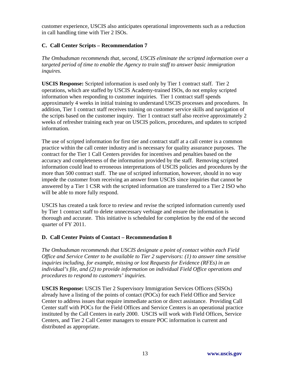customer experience, USCIS also anticipates operational improvements such as a reduction in call handling time with Tier 2 ISOs.

## **C. Call Center Scripts – Recommendation 7**

*The Ombudsman recommends that, second, USCIS eliminate the scripted information over a targeted period of time to enable the Agency to train staff to answer basic immigration inquires.* 

**USCIS Response:** Scripted information is used only by Tier 1 contract staff. Tier 2 operations, which are staffed by USCIS Academy-trained ISOs, do not employ scripted information when responding to customer inquiries. Tier 1 contract staff spends approximately 4 weeks in initial training to understand USCIS processes and procedures. In addition, Tier 1 contract staff receives training on customer service skills and navigation of the scripts based on the customer inquiry. Tier 1 contract staff also receive approximately 2 weeks of refresher training each year on USCIS polices, procedures, and updates to scripted information.

The use of scripted information for first tier and contract staff at a call center is a common practice within the call center industry and is necessary for quality assurance purposes. The contract for the Tier 1 Call Centers provides for incentives and penalties based on the accuracy and completeness of the information provided by the staff. Removing scripted information could lead to erroneous interpretations of USCIS policies and procedures by the more than 500 contract staff. The use of scripted information, however, should in no way impede the customer from receiving an answer from USCIS since inquiries that cannot be answered by a Tier 1 CSR with the scripted information are transferred to a Tier 2 ISO who will be able to more fully respond.

USCIS has created a task force to review and revise the scripted information currently used by Tier 1 contract staff to delete unnecessary verbiage and ensure the information is thorough and accurate. This initiative is scheduled for completion by the end of the second quarter of FY 2011.

### **D. Call Center Points of Contact – Recommendation 8**

*The Ombudsman recommends that USCIS designate a point of contact within each Field Office and Service Center to be available to Tier 2 supervisors: (1) to answer time sensitive inquiries including, for example, missing or lost Requests for Evidence (RFEs) in an individual's file, and (2) to provide information on individual Field Office operations and procedures to respond to customers' inquiries.* 

**USCIS Response:** USCIS Tier 2 Supervisory Immigration Services Officers (SISOs) already have a listing of the points of contact (POCs) for each Field Office and Service Center to address issues that require immediate action or direct assistance. Providing Call Center staff with POCs for the Field Offices and Service Centers is an operational practice instituted by the Call Centers in early 2000. USCIS will work with Field Offices, Service Centers, and Tier 2 Call Center managers to ensure POC information is current and distributed as appropriate.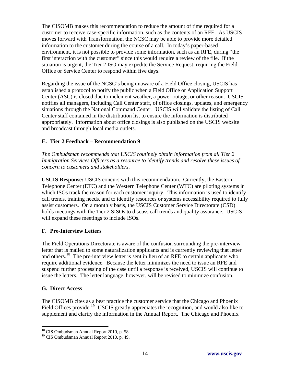The CISOMB makes this recommendation to reduce the amount of time required for a customer to receive case-specific information, such as the contents of an RFE. As USCIS moves forward with Transformation, the NCSC may be able to provide more detailed information to the customer during the course of a call. In today's paper-based environment, it is not possible to provide some information, such as an RFE, during "the first interaction with the customer" since this would require a review of the file. If the situation is urgent, the Tier 2 ISO may expedite the Service Request, requiring the Field Office or Service Center to respond within five days.

Regarding the issue of the NCSC's being unaware of a Field Office closing, USCIS has established a protocol to notify the public when a Field Office or Application Support Center (ASC) is closed due to inclement weather, a power outage, or other reason. USCIS notifies all managers, including Call Center staff, of office closings, updates, and emergency situations through the National Command Center. USCIS will validate the listing of Call Center staff contained in the distribution list to ensure the information is distributed appropriately. Information about office closings is also published on the USCIS website and broadcast through local media outlets.

## **E. Tier 2 Feedback – Recommendation 9**

*The Ombudsman recommends that USCIS routinely obtain information from all Tier 2 Immigration Services Officers as a resource to identify trends and resolve these issues of concern to customers and stakeholders.* 

**USCIS Response:** USCIS concurs with this recommendation. Currently, the Eastern Telephone Center (ETC) and the Western Telephone Center (WTC) are piloting systems in which ISOs track the reason for each customer inquiry. This information is used to identify call trends, training needs, and to identify resources or systems accessibility required to fully assist customers. On a monthly basis, the USCIS Customer Service Directorate (CSD) holds meetings with the Tier 2 SISOs to discuss call trends and quality assurance. USCIS will expand these meetings to include ISOs.

### **F. Pre-Interview Letters**

The Field Operations Directorate is aware of the confusion surrounding the pre-interview letter that is mailed to some naturalization applicants and is currently reviewing that letter and others.<sup>[18](#page-16-0)</sup> The pre-interview letter is sent in lieu of an RFE to certain applicants who require additional evidence. Because the letter minimizes the need to issue an RFE and suspend further processing of the case until a response is received, USCIS will continue to issue the letters. The letter language, however, will be revised to minimize confusion.

### **G. Direct Access**

 $\overline{a}$ 

The CISOMB cites as a best practice the customer service that the Chicago and Phoenix Field Offices provide.<sup>[19](#page-16-1)</sup> USCIS greatly appreciates the recognition, and would also like to supplement and clarify the information in the Annual Report. The Chicago and Phoenix

<span id="page-16-0"></span><sup>&</sup>lt;sup>18</sup> CIS Ombudsman Annual Report 2010, p. 58.

<span id="page-16-1"></span><sup>19</sup> CIS Ombudsman Annual Report 2010, p. 49.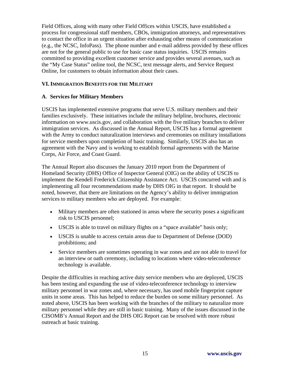Field Offices, along with many other Field Offices within USCIS, have established a process for congressional staff members, CBOs, immigration attorneys, and representatives to contact the office in an urgent situation after exhausting other means of communication (e.g., the NCSC, InfoPass). The phone number and e-mail address provided by these offices are not for the general public to use for basic case status inquiries. USCIS remains committed to providing excellent customer service and provides several avenues, such as the "My Case Status" online tool, the NCSC, text message alerts, and Service Request Online, for customers to obtain information about their cases.

#### **VI. IMMIGRATION BENEFITS FOR THE MILITARY**

#### **A**. **Services for Military Members**

USCIS has implemented extensive programs that serve U.S. military members and their families exclusively. These initiatives include the military helpline, brochures, electronic information on www.uscis.gov, and collaboration with the five military branches to deliver immigration services. As discussed in the Annual Report, USCIS has a formal agreement with the Army to conduct naturalization interviews and ceremonies on military installations for service members upon completion of basic training. Similarly, USCIS also has an agreement with the Navy and is working to establish formal agreements with the Marine Corps, Air Force, and Coast Guard.

The Annual Report also discusses the January 2010 report from the Department of Homeland Security (DHS) Office of Inspector General (OIG) on the ability of USCIS to implement the Kendell Frederick Citizenship Assistance Act. USCIS concurred with and is implementing all four recommendations made by DHS OIG in that report. It should be noted, however, that there are limitations on the Agency's ability to deliver immigration services to military members who are deployed. For example:

- Military members are often stationed in areas where the security poses a significant risk to USCIS personnel;
- USCIS is able to travel on military flights on a "space available" basis only;
- USCIS is unable to access certain areas due to Department of Defense (DOD) prohibitions; and
- Service members are sometimes operating in war zones and are not able to travel for an interview or oath ceremony, including to locations where video-teleconference technology is available.

Despite the difficulties in reaching active duty service members who are deployed, USCIS has been testing and expanding the use of video-teleconference technology to interview military personnel in war zones and, where necessary, has used mobile fingerprint capture units in some areas. This has helped to reduce the burden on some military personnel. As noted above, USCIS has been working with the branches of the military to naturalize more military personnel while they are still in basic training. Many of the issues discussed in the CISOMB's Annual Report and the DHS OIG Report can be resolved with more robust outreach at basic training.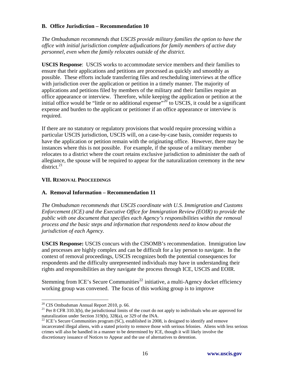#### **B. Office Jurisdiction – Recommendation 10**

*The Ombudsman recommends that USCIS provide military families the option to have the office with initial jurisdiction complete adjudications for family members of active duty personnel, even when the family relocates outside of the district.* 

**USCIS Response**: USCIS works to accommodate service members and their families to ensure that their applications and petitions are processed as quickly and smoothly as possible. These efforts include transferring files and rescheduling interviews at the office with jurisdiction over the application or petition in a timely manner. The majority of applications and petitions filed by members of the military and their families require an office appearance or interview. Therefore, while keeping the application or petition at the initial office would be "little or no additional expense"<sup>[20](#page-18-0)</sup> to USCIS, it could be a significant expense and burden to the applicant or petitioner if an office appearance or interview is required.

If there are no statutory or regulatory provisions that would require processing within a particular USCIS jurisdiction, USCIS will, on a case-by-case basis, consider requests to have the application or petition remain with the originating office. However, there may be instances where this is not possible. For example, if the spouse of a military member relocates to a district where the court retains exclusive jurisdiction to administer the oath of allegiance, the spouse will be required to appear for the naturalization ceremony in the new  $distriet^{21}$  $distriet^{21}$  $distriet^{21}$ 

### **VII. REMOVAL PROCEEDINGS**

### **A. Removal Information – Recommendation 11**

*The Ombudsman recommends that USCIS coordinate with U.S. Immigration and Customs Enforcement (ICE) and the Executive Office for Immigration Review (EOIR) to provide the public with one document that specifies each Agency's responsibilities within the removal process and the basic steps and information that respondents need to know about the jurisdiction of each Agency.*

**USCIS Response:** USCIS concurs with the CISOMB's recommendation. Immigration law and processes are highly complex and can be difficult for a lay person to navigate. In the context of removal proceedings, USCIS recognizes both the potential consequences for respondents and the difficulty unrepresented individuals may have in understanding their rights and responsibilities as they navigate the process through ICE, USCIS and EOIR.

Stemming from ICE's Secure Communities<sup>[22](#page-18-2)</sup> initiative, a multi-Agency docket efficiency working group was convened. The focus of this working group is to improve

 $\overline{a}$ 

<span id="page-18-0"></span> $20$  CIS Ombudsman Annual Report 2010, p. 66.

<span id="page-18-1"></span><sup>&</sup>lt;sup>21</sup> Per 8 CFR 310.3(b), the jurisdictional limits of the court do not apply to individuals who are approved for naturalization under Section 319(b), 328(a), or 329 of the INA.

<span id="page-18-2"></span> $22$  ICE's Secure Communities program (SC), established in 2008, is designed to identify and remove incarcerated illegal aliens, with a stated priority to remove those with serious felonies. Aliens with less serious crimes will also be handled in a manner to be determined by ICE, though it will likely involve the discretionary issuance of Notices to Appear and the use of alternatives to detention.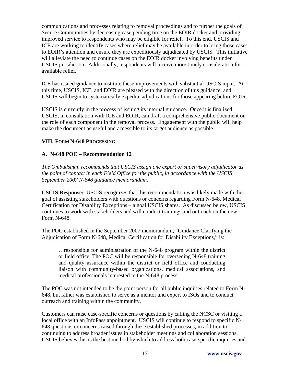communications and processes relating to removal proceedings and to further the goals of Secure Communities by decreasing case pending time on the EOIR docket and providing improved service to respondents who may be eligible for relief. To this end, USCIS and ICE are working to identify cases where relief may be available in order to bring those cases to EOIR's attention and ensure they are expeditiously adjudicated by USCIS. This initiative will alleviate the need to continue cases on the EOIR docket involving benefits under USCIS jurisdiction. Additionally, respondents will receive more timely consideration for available relief.

ICE has issued guidance to institute these improvements with substantial USCIS input. At this time, USCIS, ICE, and EOIR are pleased with the direction of this guidance, and USCIS will begin to systematically expedite adjudications for those appearing before EOIR.

USCIS is currently in the process of issuing its internal guidance. Once it is finalized USCIS, in consultation with ICE and EOIR, can draft a comprehensive public document on the role of each component in the removal process. Engagement with the public will help make the document as useful and accessible to its target audience as possible.

## **VIII. FORM N-648 PROCESSING**

## **A. N-648 POC – Recommendation 12**

*The Ombudsman recommends that USCIS assign one expert or supervisory adjudicator as the point of contact in each Field Office for the public, in accordance with the USCIS September 2007 N-648 guidance memorandum.*

**USCIS Response:** USCIS recognizes that this recommendation was likely made with the goal of assisting stakeholders with questions or concerns regarding Form N-648, Medical Certification for Disability Exceptions – a goal USCIS shares. As discussed below, USCIS continues to work with stakeholders and will conduct trainings and outreach on the new Form N-648.

The POC established in the September 2007 memorandum, "Guidance Clarifying the Adjudication of Form N-648, Medical Certification for Disability Exceptions," is:

…responsible for administration of the N-648 program within the district or field office. The POC will be responsible for overseeing N-648 training and quality assurance within the district or field office and conducting liaison with community-based organizations, medical associations, and medical professionals interested in the N-648 process.

The POC was not intended to be the point person for all public inquiries related to Form N-648, but rather was established to serve as a mentor and expert to ISOs and to conduct outreach and training within the community.

Customers can raise case-specific concerns or questions by calling the NCSC or visiting a local office with an InfoPass appointment. USCIS will continue to respond to specific N-648 questions or concerns raised through these established processes, in addition to continuing to address broader issues in stakeholder meetings and collaboration sessions. USCIS believes this is the best method by which to address both case-specific inquiries and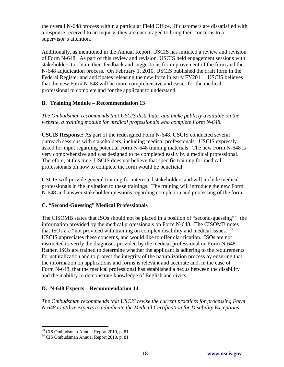the overall N-648 process within a particular Field Office. If customers are dissatisfied with a response received to an inquiry, they are encouraged to bring their concerns to a supervisor's attention.

Additionally, as mentioned in the Annual Report, USCIS has initiated a review and revision of Form N-648. As part of this review and revision, USCIS held engagement sessions with stakeholders to obtain their feedback and suggestions for improvement of the form and the N-648 adjudication process. On February 1, 2010, USCIS published the draft form in the Federal Register and anticipates releasing the new form in early FY2011. USCIS believes that the new Form N-648 will be more comprehensive and easier for the medical professional to complete and for the applicant to understand.

## **B. Training Module – Recommendation 13**

*The Ombudsman recommends that USCIS distribute, and make publicly available on the website, a training module for medical professionals who complete Form N-648.*

**USCIS Response:** As part of the redesigned Form N-648, USCIS conducted several outreach sessions with stakeholders, including medical professionals. USCIS expressly asked for input regarding potential Form N-648 training materials. The new Form N-648 is very comprehensive and was designed to be completed easily by a medical professional. Therefore, at this time, USCIS does not believe that specific training for medical professionals on how to complete the form would be beneficial.

USCIS will provide general training for interested stakeholders and will include medical professionals in the invitation to these trainings. The training will introduce the new Form N-648 and answer stakeholder questions regarding completion and processing of the form.

### **C. "Second-Guessing" Medical Professionals**

The CISOMB states that ISOs should not be placed in a position of "second-guessing"<sup>[23](#page-20-0)</sup> the information provided by the medical professionals on Form N-648. The CISOMB notes that ISOs are "not provided with training on complex disability and medical issues."<sup>[24](#page-20-1)</sup> USCIS appreciates these concerns, and would like to offer clarification. ISOs are not instructed to verify the diagnoses provided by the medical professional on Form N-648. Rather, ISOs are trained to determine whether the applicant is adhering to the requirements for naturalization and to protect the integrity of the naturalization process by ensuring that the information on applications and forms is relevant and accurate and, in the case of Form N-648, that the medical professional has established a nexus between the disability and the inability to demonstrate knowledge of English and civics.

# **D. N-648 Experts – Recommendation 14**

*The Ombudsman recommends that USCIS revise the current practices for processing Form N-648 to utilize experts to adjudicate the Medical Certification for Disability Exceptions.* 

1

 $23$  CIS Ombudsman Annual Report 2010, p. 81.

<span id="page-20-1"></span><span id="page-20-0"></span><sup>24</sup> CIS Ombudsman Annual Report 2010, p. 81*.*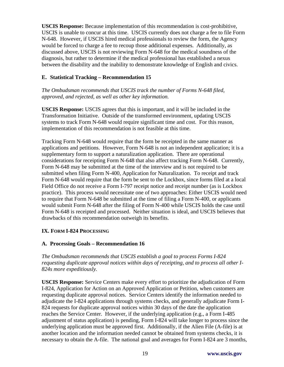**USCIS Response:** Because implementation of this recommendation is cost-prohibitive, USCIS is unable to concur at this time. USCIS currently does not charge a fee to file Form N-648. However, if USCIS hired medical professionals to review the form, the Agency would be forced to charge a fee to recoup those additional expenses. Additionally, as discussed above, USCIS is not reviewing Form N-648 for the medical soundness of the diagnosis, but rather to determine if the medical professional has established a nexus between the disability and the inability to demonstrate knowledge of English and civics.

## **E. Statistical Tracking – Recommendation 15**

*The Ombudsman recommends that USCIS track the number of Forms N-648 filed, approved, and rejected, as well as other key information.*

**USCIS Response:** USCIS agrees that this is important, and it will be included in the Transformation Initiative. Outside of the transformed environment, updating USCIS systems to track Form N-648 would require significant time and cost. For this reason, implementation of this recommendation is not feasible at this time.

Tracking Form N-648 would require that the form be receipted in the same manner as applications and petitions. However, Form N-648 is not an independent application; it is a supplementary form to support a naturalization application. There are operational considerations for receipting Form N-648 that also affect tracking Form N-648. Currently, Form N-648 may be submitted at the time of the interview and is not required to be submitted when filing Form N-400, Application for Naturalization. To receipt and track Form N-648 would require that the form be sent to the Lockbox, since forms filed at a local Field Office do not receive a Form I-797 receipt notice and receipt number (as is Lockbox practice). This process would necessitate one of two approaches: Either USCIS would need to require that Form N-648 be submitted at the time of filing a Form N-400, or applicants would submit Form N-648 after the filing of Form N-400 while USCIS holds the case until Form N-648 is receipted and processed. Neither situation is ideal, and USCIS believes that drawbacks of this recommendation outweigh its benefits.

### **IX. FORM I-824 PROCESSING**

### **A. Processing Goals – Recommendation 16**

*The Ombudsman recommends that USCIS establish a goal to process Forms I-824 requesting duplicate approval notices within days of receipting, and to process all other I-824s more expeditiously.*

**USCIS Response:** Service Centers make every effort to prioritize the adjudication of Form I-824, Application for Action on an Approved Application or Petition, when customers are requesting duplicate approval notices. Service Centers identify the information needed to adjudicate the I-824 applications through systems checks, and generally adjudicate Form I-824 requests for duplicate approval notices within 30 days of the date the application reaches the Service Center. However, if the underlying application (e.g., a Form I-485 adjustment of status application) is pending, Form I-824 will take longer to process since the underlying application must be approved first. Additionally, if the Alien File (A-file) is at another location and the information needed cannot be obtained from systems checks, it is necessary to obtain the A-file. The national goal and averages for Form I-824 are 3 months,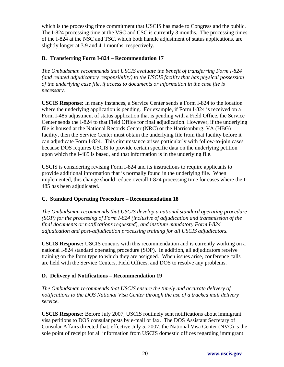which is the processing time commitment that USCIS has made to Congress and the public. The I-824 processing time at the VSC and CSC is currently 3 months. The processing times of the I-824 at the NSC and TSC, which both handle adjustment of status applications, are slightly longer at 3.9 and 4.1 months, respectively.

## **B. Transferring Form I-824 – Recommendation 17**

*The Ombudsman recommends that USCIS evaluate the benefit of transferring Form I-824 (and related adjudicatory responsibility) to the USCIS facility that has physical possession of the underlying case file, if access to documents or information in the case file is necessary.* 

**USCIS Response:** In many instances, a Service Center sends a Form I-824 to the location where the underlying application is pending. For example, if Form I-824 is received on a Form I-485 adjustment of status application that is pending with a Field Office, the Service Center sends the I-824 to that Field Office for final adjudication. However, if the underlying file is housed at the National Records Center (NRC) or the Harrisonburg, VA (HBG) facility, then the Service Center must obtain the underlying file from that facility before it can adjudicate Form I-824. This circumstance arises particularly with follow-to-join cases because DOS requires USCIS to provide certain specific data on the underlying petition upon which the I-485 is based, and that information is in the underlying file.

USCIS is considering revising Form I-824 and its instructions to require applicants to provide additional information that is normally found in the underlying file. When implemented, this change should reduce overall I-824 processing time for cases where the I-485 has been adjudicated.

# **C. Standard Operating Procedure – Recommendation 18**

*The Ombudsman recommends that USCIS develop a national standard operating procedure (SOP) for the processing of Form I-824 (inclusive of adjudication and transmission of the final documents or notifications requested), and institute mandatory Form I-824 adjudication and post-adjudication processing training for all USCIS adjudicators.* 

**USCIS Response:** USCIS concurs with this recommendation and is currently working on a national I-824 standard operating procedure (SOP). In addition, all adjudicators receive training on the form type to which they are assigned. When issues arise, conference calls are held with the Service Centers, Field Offices, and DOS to resolve any problems.

### **D. Delivery of Notifications – Recommendation 19**

*The Ombudsman recommends that USCIS ensure the timely and accurate delivery of notifications to the DOS National Visa Center through the use of a tracked mail delivery service.* 

**USCIS Response:** Before July 2007, USCIS routinely sent notifications about immigrant visa petitions to DOS consular posts by e-mail or fax. The DOS Assistant Secretary of Consular Affairs directed that, effective July 5, 2007, the National Visa Center (NVC) is the sole point of receipt for all information from USCIS domestic offices regarding immigrant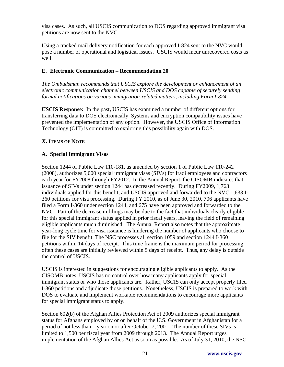visa cases. As such, all USCIS communication to DOS regarding approved immigrant visa petitions are now sent to the NVC.

Using a tracked mail delivery notification for each approved I-824 sent to the NVC would pose a number of operational and logistical issues. USCIS would incur unrecovered costs as well.

## **E. Electronic Communication – Recommendation 20**

*The Ombudsman recommends that USCIS explore the development or enhancement of an electronic communication channel between USCIS and DOS capable of securely sending formal notifications on various immigration-related matters, including Form I-824.*

**USCIS Response:** In the past**,** USCIS has examined a number of different options for transferring data to DOS electronically. Systems and encryption compatibility issues have prevented the implementation of any option. However, the USCIS Office of Information Technology (OIT) is committed to exploring this possibility again with DOS.

## **X. ITEMS OF NOTE**

### **A. Special Immigrant Visas**

Section 1244 of Public Law 110-181, as amended by section 1 of Public Law 110-242 (2008), authorizes 5,000 special immigrant visas (SIVs) for Iraqi employees and contractors each year for FY2008 through FY2012. In the Annual Report, the CISOMB indicates that issuance of SIVs under section 1244 has decreased recently. During FY2009, 1,763 individuals applied for this benefit, and USCIS approved and forwarded to the NVC 1,633 I-360 petitions for visa processing. During FY 2010, as of June 30, 2010, 706 applicants have filed a Form I-360 under section 1244, and 675 have been approved and forwarded to the NVC. Part of the decrease in filings may be due to the fact that individuals clearly eligible for this special immigrant status applied in prior fiscal years, leaving the field of remaining eligible applicants much diminished. The Annual Report also notes that the approximate year-long cycle time for visa issuance is hindering the number of applicants who choose to file for the SIV benefit. The NSC processes all section 1059 and section 1244 I-360 petitions within 14 days of receipt. This time frame is the maximum period for processing; often these cases are initially reviewed within 5 days of receipt. Thus, any delay is outside the control of USCIS.

USCIS is interested in suggestions for encouraging eligible applicants to apply. As the CISOMB notes, USCIS has no control over how many applicants apply for special immigrant status or who those applicants are. Rather, USCIS can only accept properly filed I-360 petitions and adjudicate those petitions. Nonetheless, USCIS is prepared to work with DOS to evaluate and implement workable recommendations to encourage more applicants for special immigrant status to apply.

Section 602(b) of the Afghan Allies Protection Act of 2009 authorizes special immigrant status for Afghans employed by or on behalf of the U.S. Government in Afghanistan for a period of not less than 1 year on or after October 7, 2001. The number of these SIVs is limited to 1,500 per fiscal year from 2009 through 2013. The Annual Report urges implementation of the Afghan Allies Act as soon as possible. As of July 31, 2010, the NSC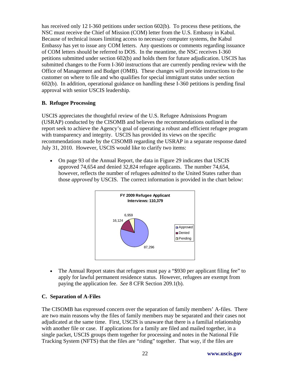has received only 12 I-360 petitions under section 602(b). To process these petitions, the NSC must receive the Chief of Mission (COM) letter from the U.S. Embassy in Kabul. Because of technical issues limiting access to necessary computer systems, the Kabul Embassy has yet to issue any COM letters. Any questions or comments regarding issuance of COM letters should be referred to DOS. In the meantime, the NSC receives I-360 petitions submitted under section 602(b) and holds them for future adjudication. USCIS has submitted changes to the Form I-360 instructions that are currently pending review with the Office of Management and Budget (OMB). These changes will provide instructions to the customer on where to file and who qualifies for special immigrant status under section 602(b). In addition, operational guidance on handling these I-360 petitions is pending final approval with senior USCIS leadership.

## **B. Refugee Processing**

USCIS appreciates the thoughtful review of the U.S. Refugee Admissions Program (USRAP) conducted by the CISOMB and believes the recommendations outlined in the report seek to achieve the Agency's goal of operating a robust and efficient refugee program with transparency and integrity. USCIS has provided its views on the specific recommendations made by the CISOMB regarding the USRAP in a separate response dated July 31, 2010. However, USCIS would like to clarify two items:

• On page 93 of the Annual Report, the data in Figure 29 indicates that USCIS approved 74,654 and denied 32,824 refugee applicants. The number 74,654, however, reflects the number of refugees *admitted* to the United States rather than those *approved* by USCIS. The correct information is provided in the chart below:



• The Annual Report states that refugees must pay a "\$930 per applicant filing fee" to apply for lawful permanent residence status. However, refugees are exempt from paying the application fee. *See* 8 CFR Section 209.1(b).

### **C. Separation of A-Files**

The CISOMB has expressed concern over the separation of family members' A-files. There are two main reasons why the files of family members may be separated and their cases not adjudicated at the same time. First, USCIS is unaware that there is a familial relationship with another file or case. If applications for a family are filed and mailed together, in a single packet, USCIS groups them together for processing and notes in the National File Tracking System (NFTS) that the files are "riding" together. That way, if the files are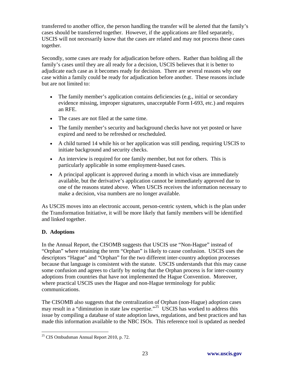transferred to another office, the person handling the transfer will be alerted that the family's cases should be transferred together. However, if the applications are filed separately, USCIS will not necessarily know that the cases are related and may not process these cases together.

Secondly, some cases are ready for adjudication before others. Rather than holding all the family's cases until they are all ready for a decision, USCIS believes that it is better to adjudicate each case as it becomes ready for decision. There are several reasons why one case within a family could be ready for adjudication before another. These reasons include but are not limited to:

- The family member's application contains deficiencies (e.g., initial or secondary evidence missing, improper signatures, unacceptable Form I-693, etc.) and requires an RFE.
- The cases are not filed at the same time.
- The family member's security and background checks have not yet posted or have expired and need to be refreshed or rescheduled.
- A child turned 14 while his or her application was still pending, requiring USCIS to initiate background and security checks.
- An interview is required for one family member, but not for others. This is particularly applicable in some employment-based cases.
- A principal applicant is approved during a month in which visas are immediately available, but the derivative's application cannot be immediately approved due to one of the reasons stated above. When USCIS receives the information necessary to make a decision, visa numbers are no longer available.

As USCIS moves into an electronic account, person-centric system, which is the plan under the Transformation Initiative, it will be more likely that family members will be identified and linked together.

# **D. Adoptions**

In the Annual Report, the CISOMB suggests that USCIS use "Non-Hague" instead of "Orphan" where retaining the term "Orphan" is likely to cause confusion. USCIS uses the descriptors "Hague" and "Orphan" for the two different inter-country adoption processes because that language is consistent with the statute. USCIS understands that this may cause some confusion and agrees to clarify by noting that the Orphan process is for inter-country adoptions from countries that have not implemented the Hague Convention. Moreover, where practical USCIS uses the Hague and non-Hague terminology for public communications.

The CISOMB also suggests that the centralization of Orphan (non-Hague) adoption cases may result in a "diminution in state law expertise."<sup>[25](#page-25-0)</sup> USCIS has worked to address this issue by compiling a database of state adoption laws, regulations, and best practices and has made this information available to the NBC ISOs. This reference tool is updated as needed

<span id="page-25-0"></span><sup>1</sup>  $25$  CIS Ombudsman Annual Report 2010, p. 72.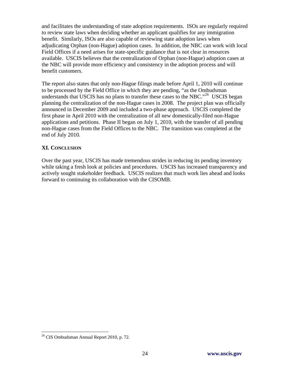and facilitates the understanding of state adoption requirements. ISOs are regularly required to review state laws when deciding whether an applicant qualifies for any immigration benefit. Similarly, ISOs are also capable of reviewing state adoption laws when adjudicating Orphan (non-Hague) adoption cases. In addition, the NBC can work with local Field Offices if a need arises for state-specific guidance that is not clear in resources available. USCIS believes that the centralization of Orphan (non-Hague) adoption cases at the NBC will provide more efficiency and consistency in the adoption process and will benefit customers.

The report also states that only non-Hague filings made before April 1, 2010 will continue to be processed by the Field Office in which they are pending, "as the Ombudsman understands that USCIS has no plans to transfer these cases to the NBC.<sup> $26$ </sup> USCIS began planning the centralization of the non-Hague cases in 2008. The project plan was officially announced in December 2009 and included a two-phase approach. USCIS completed the first phase in April 2010 with the centralization of all new domestically-filed non-Hague applications and petitions. Phase II began on July 1, 2010, with the transfer of all pending non-Hague cases from the Field Offices to the NBC. The transition was completed at the end of July 2010.

### **XI. CONCLUSION**

Over the past year, USCIS has made tremendous strides in reducing its pending inventory while taking a fresh look at policies and procedures. USCIS has increased transparency and actively sought stakeholder feedback. USCIS realizes that much work lies ahead and looks forward to continuing its collaboration with the CISOMB.

1

<span id="page-26-0"></span><sup>26</sup> CIS Ombudsman Annual Report 2010, p. 72*.*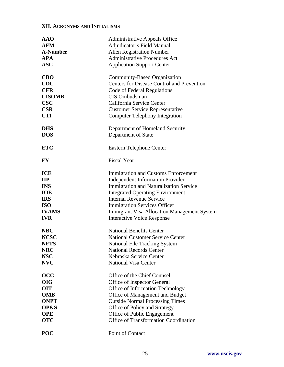## **XII. ACRONYMS AND INITIALISMS**

| <b>AAO</b>      | <b>Administrative Appeals Office</b>               |
|-----------------|----------------------------------------------------|
| <b>AFM</b>      | Adjudicator's Field Manual                         |
| <b>A-Number</b> | <b>Alien Registration Number</b>                   |
| <b>APA</b>      | <b>Administrative Procedures Act</b>               |
| <b>ASC</b>      | <b>Application Support Center</b>                  |
| <b>CBO</b>      | Community-Based Organization                       |
| <b>CDC</b>      | <b>Centers for Disease Control and Prevention</b>  |
| <b>CFR</b>      | Code of Federal Regulations                        |
| <b>CISOMB</b>   | CIS Ombudsman                                      |
| <b>CSC</b>      | California Service Center                          |
| <b>CSR</b>      | <b>Customer Service Representative</b>             |
| <b>CTI</b>      | <b>Computer Telephony Integration</b>              |
| <b>DHS</b>      | Department of Homeland Security                    |
| <b>DOS</b>      | Department of State                                |
| <b>ETC</b>      | <b>Eastern Telephone Center</b>                    |
| <b>FY</b>       | <b>Fiscal Year</b>                                 |
| <b>ICE</b>      | <b>Immigration and Customs Enforcement</b>         |
| $\mathbf{H}$    | <b>Independent Information Provider</b>            |
| <b>INS</b>      | <b>Immigration and Naturalization Service</b>      |
| <b>IOE</b>      | <b>Integrated Operating Environment</b>            |
| <b>IRS</b>      | <b>Internal Revenue Service</b>                    |
| <b>ISO</b>      | <b>Immigration Services Officer</b>                |
| <b>IVAMS</b>    | <b>Immigrant Visa Allocation Management System</b> |
| <b>IVR</b>      | <b>Interactive Voice Response</b>                  |
| <b>NBC</b>      | <b>National Benefits Center</b>                    |
| <b>NCSC</b>     | <b>National Customer Service Center</b>            |
| <b>NFTS</b>     | National File Tracking System                      |
| <b>NRC</b>      | <b>National Records Center</b>                     |
| <b>NSC</b>      | Nebraska Service Center                            |
| <b>NVC</b>      | <b>National Visa Center</b>                        |
| <b>OCC</b>      | Office of the Chief Counsel                        |
| <b>OIG</b>      | Office of Inspector General                        |
| <b>OIT</b>      | Office of Information Technology                   |
| <b>OMB</b>      | Office of Management and Budget                    |
| <b>ONPT</b>     | <b>Outside Normal Processing Times</b>             |
| OP&S            | Office of Policy and Strategy                      |
| <b>OPE</b>      | Office of Public Engagement                        |
| <b>OTC</b>      | <b>Office of Transformation Coordination</b>       |
| <b>POC</b>      | Point of Contact                                   |